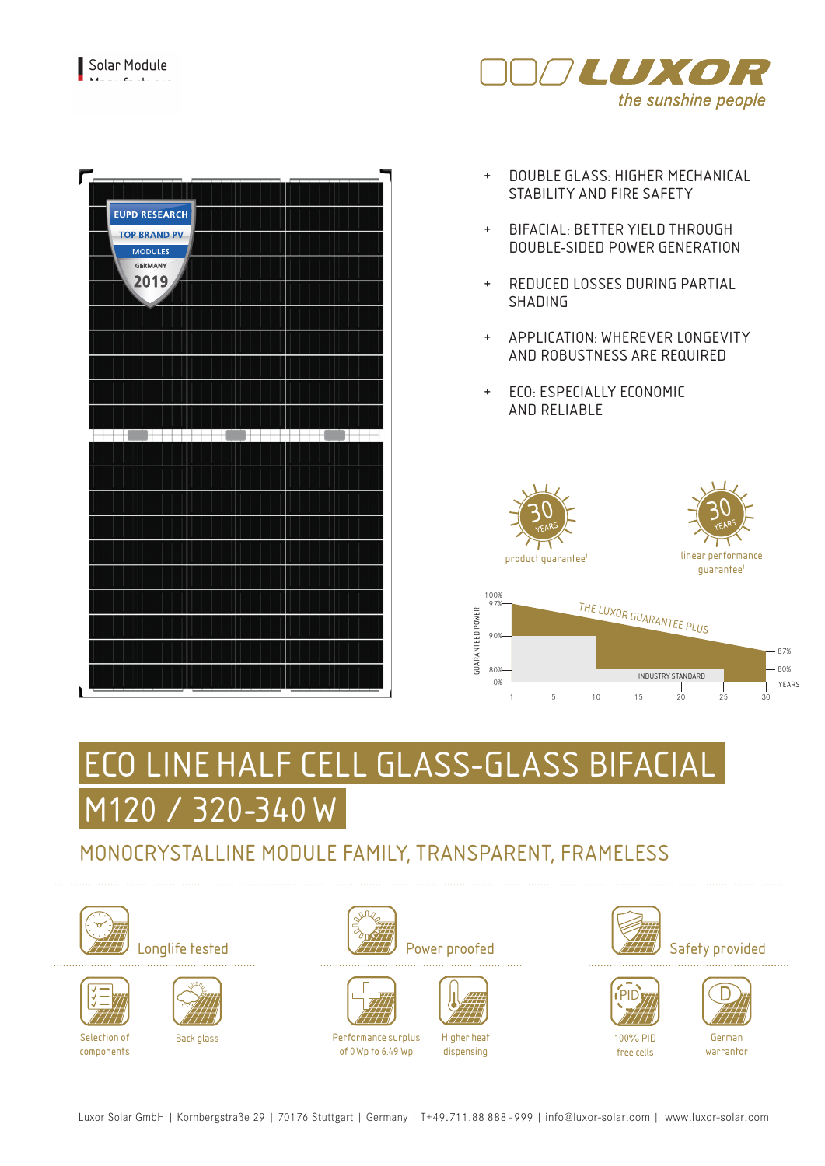



- + DOUBLE GLASS: HIGHER MECHANICAL STABILITY AND FIRE SAFETY
- + BIFACIAL: BETTER YIELD THROUGH DOUBLE-SIDED POWER GENERATION
- + REDUCED LOSSES DURING PARTIAL SHADING
- + APPLICATION: WHEREVER LONGEVITY AND ROBUSTNESS ARE REQUIRED
- + ECO: ESPECIALLY ECONOMIC AND RELIABLE



1 5 10 15 20 30

# LINE HALF CELL GLASS-GLASS BIFACIAL M120 / 320-340 W

## MONOCRYSTALLINE MODULE FAMILY, TRANSPARENT, FRAMELESS







Selection of components











Higher heat dispensing





 $\frac{1}{25}$ 





free cells

German warrantor